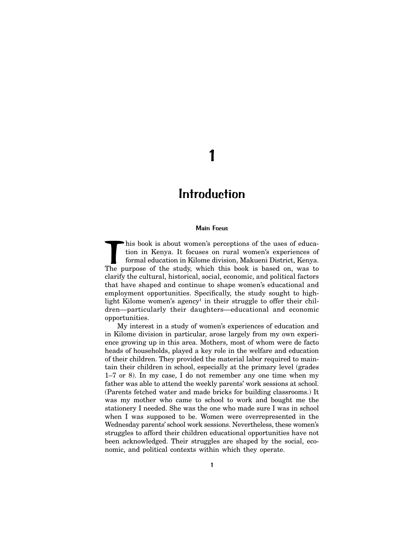# 1

# **Introduction**

#### Main Focus

This book is about women's perceptions of the uses of educa-<br>tion in Kenya. It focuses on rural women's experiences of<br>formal education in Kilome division, Makueni District, Kenya.<br>The purpose of the study, which this book tion in Kenya. It focuses on rural women's experiences of formal education in Kilome division, Makueni District, Kenya. The purpose of the study, which this book is based on, was to clarify the cultural, historical, social, economic, and political factors that have shaped and continue to shape women's educational and employment opportunities. Specifically, the study sought to highlight Kilome women's agency<sup>1</sup> in their struggle to offer their children—particularly their daughters—educational and economic opportunities.

My interest in a study of women's experiences of education and in Kilome division in particular, arose largely from my own experience growing up in this area. Mothers, most of whom were de facto heads of households, played a key role in the welfare and education of their children. They provided the material labor required to maintain their children in school, especially at the primary level (grades 1–7 or 8). In my case, I do not remember any one time when my father was able to attend the weekly parents' work sessions at school. (Parents fetched water and made bricks for building classrooms.) It was my mother who came to school to work and bought me the stationery I needed. She was the one who made sure I was in school when I was supposed to be. Women were overrepresented in the Wednesday parents' school work sessions. Nevertheless, these women's struggles to afford their children educational opportunities have not been acknowledged. Their struggles are shaped by the social, economic, and political contexts within which they operate.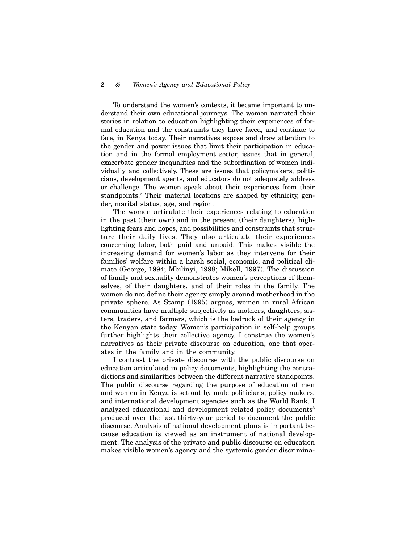To understand the women's contexts, it became important to understand their own educational journeys. The women narrated their stories in relation to education highlighting their experiences of formal education and the constraints they have faced, and continue to face, in Kenya today. Their narratives expose and draw attention to the gender and power issues that limit their participation in education and in the formal employment sector, issues that in general, exacerbate gender inequalities and the subordination of women individually and collectively. These are issues that policymakers, politicians, development agents, and educators do not adequately address or challenge. The women speak about their experiences from their standpoints.<sup>2</sup> Their material locations are shaped by ethnicity, gender, marital status, age, and region.

The women articulate their experiences relating to education in the past (their own) and in the present (their daughters), highlighting fears and hopes, and possibilities and constraints that structure their daily lives. They also articulate their experiences concerning labor, both paid and unpaid. This makes visible the increasing demand for women's labor as they intervene for their families' welfare within a harsh social, economic, and political climate (George, 1994; Mbilinyi, 1998; Mikell, 1997). The discussion of family and sexuality demonstrates women's perceptions of themselves, of their daughters, and of their roles in the family. The women do not define their agency simply around motherhood in the private sphere. As Stamp (1995) argues, women in rural African communities have multiple subjectivity as mothers, daughters, sisters, traders, and farmers, which is the bedrock of their agency in the Kenyan state today. Women's participation in self-help groups further highlights their collective agency. I construe the women's narratives as their private discourse on education, one that operates in the family and in the community.

I contrast the private discourse with the public discourse on education articulated in policy documents, highlighting the contradictions and similarities between the different narrative standpoints. The public discourse regarding the purpose of education of men and women in Kenya is set out by male politicians, policy makers, and international development agencies such as the World Bank. I analyzed educational and development related policy documents<sup>3</sup> produced over the last thirty-year period to document the public discourse. Analysis of national development plans is important because education is viewed as an instrument of national development. The analysis of the private and public discourse on education makes visible women's agency and the systemic gender discrimina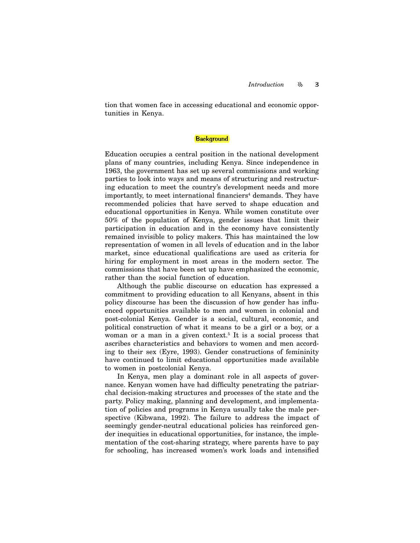tion that women face in accessing educational and economic opportunities in Kenya.

## **Background**

Education occupies a central position in the national development plans of many countries, including Kenya. Since independence in 1963, the government has set up several commissions and working parties to look into ways and means of structuring and restructuring education to meet the country's development needs and more importantly, to meet international financiers<sup>4</sup> demands. They have recommended policies that have served to shape education and educational opportunities in Kenya. While women constitute over 50% of the population of Kenya, gender issues that limit their participation in education and in the economy have consistently remained invisible to policy makers. This has maintained the low representation of women in all levels of education and in the labor market, since educational qualifications are used as criteria for hiring for employment in most areas in the modern sector. The commissions that have been set up have emphasized the economic, rather than the social function of education.

Although the public discourse on education has expressed a commitment to providing education to all Kenyans, absent in this policy discourse has been the discussion of how gender has influenced opportunities available to men and women in colonial and post-colonial Kenya. Gender is a social, cultural, economic, and political construction of what it means to be a girl or a boy, or a woman or a man in a given context.<sup>5</sup> It is a social process that ascribes characteristics and behaviors to women and men according to their sex (Eyre, 1993). Gender constructions of femininity have continued to limit educational opportunities made available to women in postcolonial Kenya.

In Kenya, men play a dominant role in all aspects of governance. Kenyan women have had difficulty penetrating the patriarchal decision-making structures and processes of the state and the party. Policy making, planning and development, and implementation of policies and programs in Kenya usually take the male perspective (Kibwana, 1992). The failure to address the impact of seemingly gender-neutral educational policies has reinforced gender inequities in educational opportunities, for instance, the implementation of the cost-sharing strategy, where parents have to pay for schooling, has increased women's work loads and intensified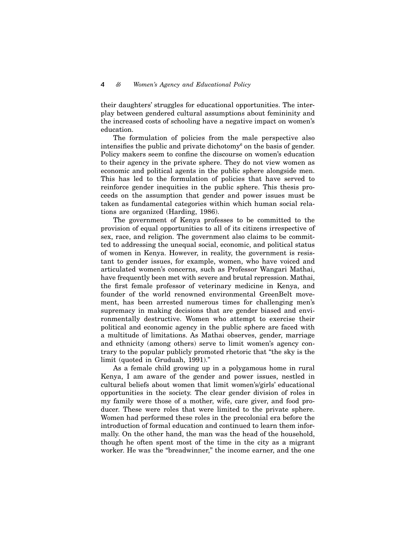their daughters' struggles for educational opportunities. The interplay between gendered cultural assumptions about femininity and the increased costs of schooling have a negative impact on women's education.

The formulation of policies from the male perspective also intensifies the public and private dichotomy<sup>6</sup> on the basis of gender. Policy makers seem to confine the discourse on women's education to their agency in the private sphere. They do not view women as economic and political agents in the public sphere alongside men. This has led to the formulation of policies that have served to reinforce gender inequities in the public sphere. This thesis proceeds on the assumption that gender and power issues must be taken as fundamental categories within which human social relations are organized (Harding, 1986).

The government of Kenya professes to be committed to the provision of equal opportunities to all of its citizens irrespective of sex, race, and religion. The government also claims to be committed to addressing the unequal social, economic, and political status of women in Kenya. However, in reality, the government is resistant to gender issues, for example, women, who have voiced and articulated women's concerns, such as Professor Wangari Mathai, have frequently been met with severe and brutal repression. Mathai, the first female professor of veterinary medicine in Kenya, and founder of the world renowned environmental GreenBelt movement, has been arrested numerous times for challenging men's supremacy in making decisions that are gender biased and environmentally destructive. Women who attempt to exercise their political and economic agency in the public sphere are faced with a multitude of limitations. As Mathai observes, gender, marriage and ethnicity (among others) serve to limit women's agency contrary to the popular publicly promoted rhetoric that "the sky is the limit (quoted in Gruduah, 1991)."

As a female child growing up in a polygamous home in rural Kenya, I am aware of the gender and power issues, nestled in cultural beliefs about women that limit women's/girls' educational opportunities in the society. The clear gender division of roles in my family were those of a mother, wife, care giver, and food producer. These were roles that were limited to the private sphere. Women had performed these roles in the precolonial era before the introduction of formal education and continued to learn them informally. On the other hand, the man was the head of the household, though he often spent most of the time in the city as a migrant worker. He was the "breadwinner," the income earner, and the one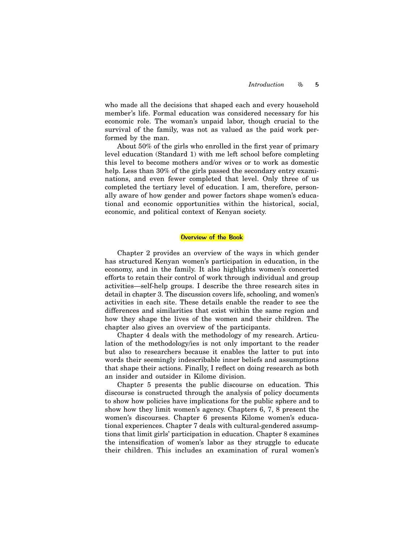who made all the decisions that shaped each and every household member's life. Formal education was considered necessary for his economic role. The woman's unpaid labor, though crucial to the survival of the family, was not as valued as the paid work performed by the man.

About 50% of the girls who enrolled in the first year of primary level education (Standard 1) with me left school before completing this level to become mothers and/or wives or to work as domestic help. Less than 30% of the girls passed the secondary entry examinations, and even fewer completed that level. Only three of us completed the tertiary level of education. I am, therefore, personally aware of how gender and power factors shape women's educational and economic opportunities within the historical, social, economic, and political context of Kenyan society.

### Overview of the Book

Chapter 2 provides an overview of the ways in which gender has structured Kenyan women's participation in education, in the economy, and in the family. It also highlights women's concerted efforts to retain their control of work through individual and group activities—self-help groups. I describe the three research sites in detail in chapter 3. The discussion covers life, schooling, and women's activities in each site. These details enable the reader to see the differences and similarities that exist within the same region and how they shape the lives of the women and their children. The chapter also gives an overview of the participants.

Chapter 4 deals with the methodology of my research. Articulation of the methodology/ies is not only important to the reader but also to researchers because it enables the latter to put into words their seemingly indescribable inner beliefs and assumptions that shape their actions. Finally, I reflect on doing research as both an insider and outsider in Kilome division.

Chapter 5 presents the public discourse on education. This discourse is constructed through the analysis of policy documents to show how policies have implications for the public sphere and to show how they limit women's agency. Chapters 6, 7, 8 present the women's discourses. Chapter 6 presents Kilome women's educational experiences. Chapter 7 deals with cultural-gendered assumptions that limit girls' participation in education. Chapter 8 examines the intensification of women's labor as they struggle to educate their children. This includes an examination of rural women's